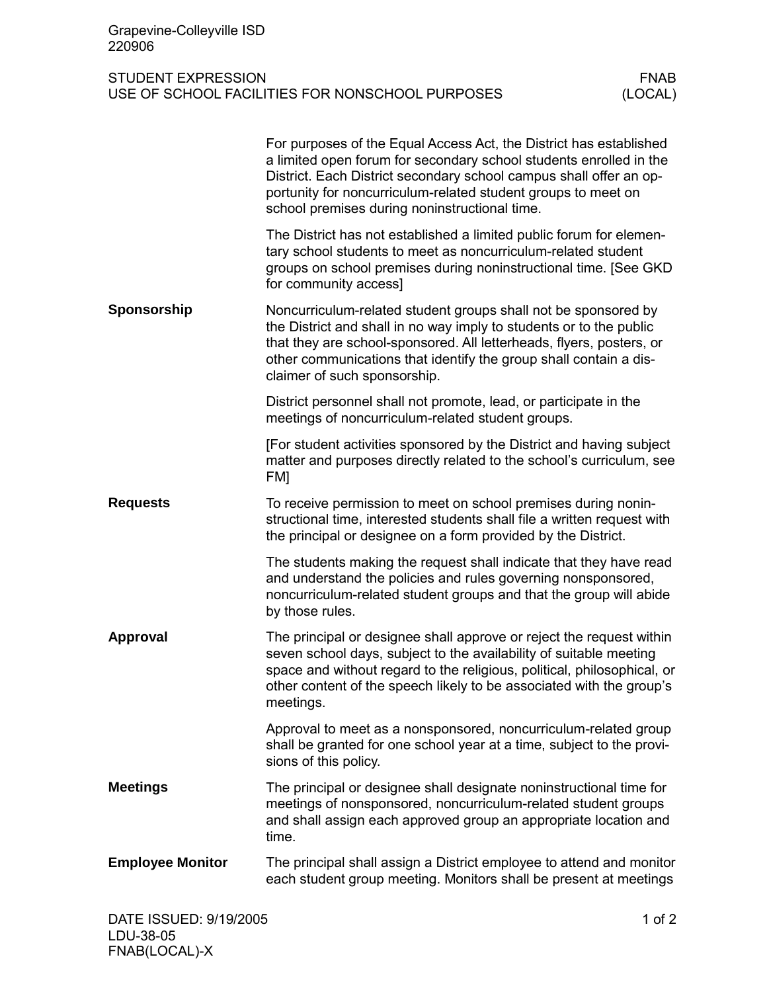| Grapevine-Colleyville ISD<br>220906                                                                    |                                                                                                                                                                                                                                                                                                                                  |  |
|--------------------------------------------------------------------------------------------------------|----------------------------------------------------------------------------------------------------------------------------------------------------------------------------------------------------------------------------------------------------------------------------------------------------------------------------------|--|
| <b>STUDENT EXPRESSION</b><br><b>FNAB</b><br>(LOCAL)<br>USE OF SCHOOL FACILITIES FOR NONSCHOOL PURPOSES |                                                                                                                                                                                                                                                                                                                                  |  |
|                                                                                                        | For purposes of the Equal Access Act, the District has established<br>a limited open forum for secondary school students enrolled in the<br>District. Each District secondary school campus shall offer an op-<br>portunity for noncurriculum-related student groups to meet on<br>school premises during noninstructional time. |  |
|                                                                                                        | The District has not established a limited public forum for elemen-<br>tary school students to meet as noncurriculum-related student<br>groups on school premises during noninstructional time. [See GKD<br>for community access]                                                                                                |  |
| Sponsorship                                                                                            | Noncurriculum-related student groups shall not be sponsored by<br>the District and shall in no way imply to students or to the public<br>that they are school-sponsored. All letterheads, flyers, posters, or<br>other communications that identify the group shall contain a dis-<br>claimer of such sponsorship.               |  |
|                                                                                                        | District personnel shall not promote, lead, or participate in the<br>meetings of noncurriculum-related student groups.                                                                                                                                                                                                           |  |
|                                                                                                        | [For student activities sponsored by the District and having subject<br>matter and purposes directly related to the school's curriculum, see<br>FM]                                                                                                                                                                              |  |
| <b>Requests</b>                                                                                        | To receive permission to meet on school premises during nonin-<br>structional time, interested students shall file a written request with<br>the principal or designee on a form provided by the District.                                                                                                                       |  |
|                                                                                                        | The students making the request shall indicate that they have read<br>and understand the policies and rules governing nonsponsored,<br>noncurriculum-related student groups and that the group will abide<br>by those rules.                                                                                                     |  |
| <b>Approval</b>                                                                                        | The principal or designee shall approve or reject the request within<br>seven school days, subject to the availability of suitable meeting<br>space and without regard to the religious, political, philosophical, or<br>other content of the speech likely to be associated with the group's<br>meetings.                       |  |
|                                                                                                        | Approval to meet as a nonsponsored, noncurriculum-related group<br>shall be granted for one school year at a time, subject to the provi-<br>sions of this policy.                                                                                                                                                                |  |
| <b>Meetings</b>                                                                                        | The principal or designee shall designate noninstructional time for<br>meetings of nonsponsored, noncurriculum-related student groups<br>and shall assign each approved group an appropriate location and<br>time.                                                                                                               |  |
| <b>Employee Monitor</b>                                                                                | The principal shall assign a District employee to attend and monitor<br>each student group meeting. Monitors shall be present at meetings                                                                                                                                                                                        |  |